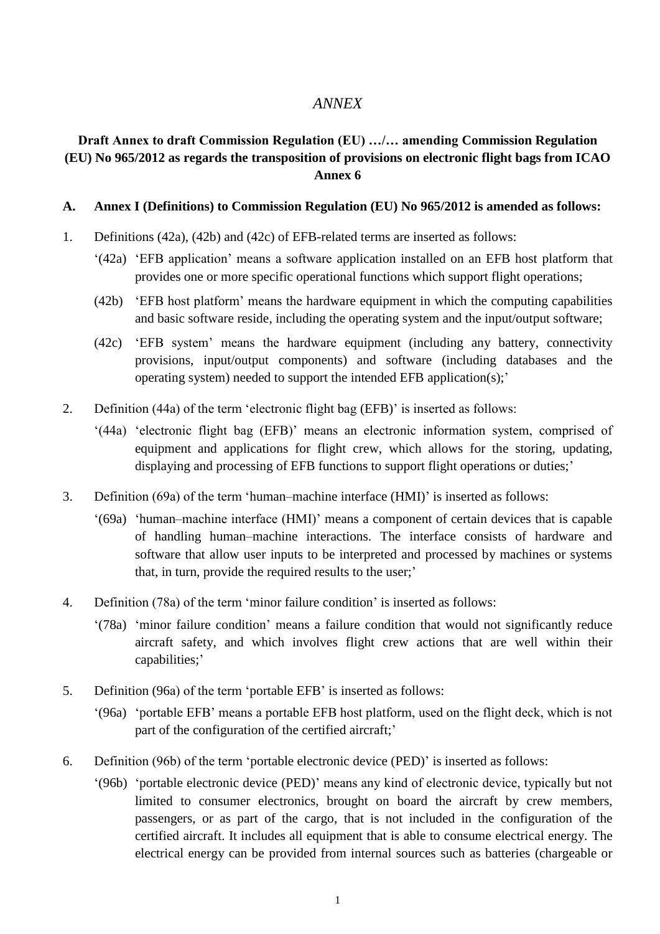## *ANNEX*

## **Draft Annex to draft Commission Regulation (EU) …/… amending Commission Regulation (EU) No 965/2012 as regards the transposition of provisions on electronic flight bags from ICAO Annex 6**

#### **A. Annex I (Definitions) to Commission Regulation (EU) No 965/2012 is amended as follows:**

- 1. Definitions (42a), (42b) and (42c) of EFB-related terms are inserted as follows:
	- '(42a) 'EFB application' means a software application installed on an EFB host platform that provides one or more specific operational functions which support flight operations;
	- (42b) 'EFB host platform' means the hardware equipment in which the computing capabilities and basic software reside, including the operating system and the input/output software;
	- (42c) 'EFB system' means the hardware equipment (including any battery, connectivity provisions, input/output components) and software (including databases and the operating system) needed to support the intended EFB application(s);'
- 2. Definition (44a) of the term 'electronic flight bag (EFB)' is inserted as follows:
	- '(44a) 'electronic flight bag (EFB)' means an electronic information system, comprised of equipment and applications for flight crew, which allows for the storing, updating, displaying and processing of EFB functions to support flight operations or duties;'
- 3. Definition (69a) of the term 'human–machine interface (HMI)' is inserted as follows:
	- '(69a) 'human–machine interface (HMI)' means a component of certain devices that is capable of handling human–machine interactions. The interface consists of hardware and software that allow user inputs to be interpreted and processed by machines or systems that, in turn, provide the required results to the user;'
- 4. Definition (78a) of the term 'minor failure condition' is inserted as follows:
	- '(78a) 'minor failure condition' means a failure condition that would not significantly reduce aircraft safety, and which involves flight crew actions that are well within their capabilities;'
- 5. Definition (96a) of the term 'portable EFB' is inserted as follows:
	- '(96a) 'portable EFB' means a portable EFB host platform, used on the flight deck, which is not part of the configuration of the certified aircraft;'
- 6. Definition (96b) of the term 'portable electronic device (PED)' is inserted as follows:
	- '(96b) 'portable electronic device (PED)' means any kind of electronic device, typically but not limited to consumer electronics, brought on board the aircraft by crew members, passengers, or as part of the cargo, that is not included in the configuration of the certified aircraft. It includes all equipment that is able to consume electrical energy. The electrical energy can be provided from internal sources such as batteries (chargeable or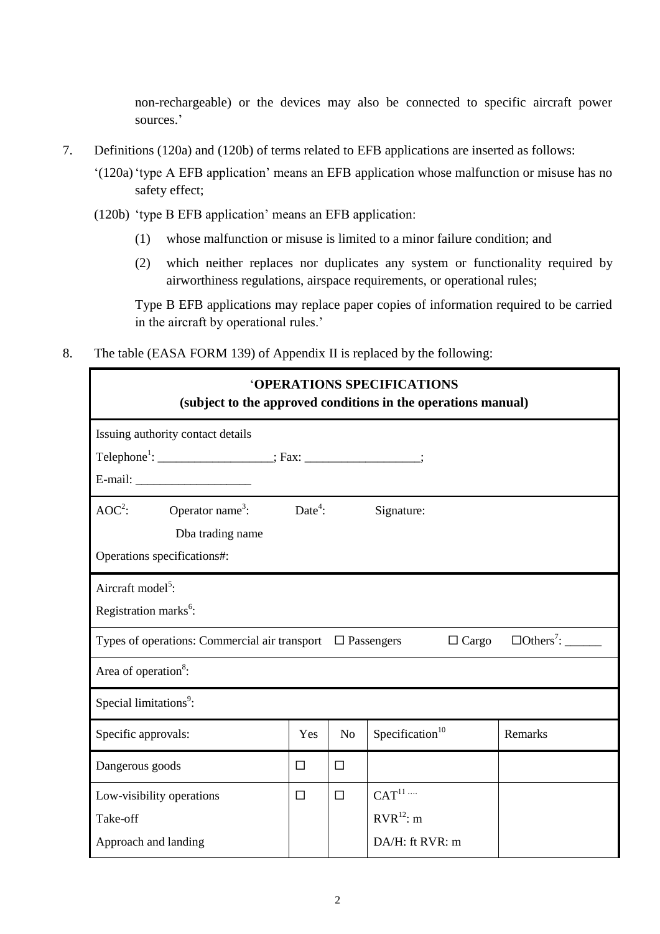non-rechargeable) or the devices may also be connected to specific aircraft power sources.'

- 7. Definitions (120a) and (120b) of terms related to EFB applications are inserted as follows:
	- '(120a)'type A EFB application' means an EFB application whose malfunction or misuse has no safety effect;
	- (120b) 'type B EFB application' means an EFB application:
		- (1) whose malfunction or misuse is limited to a minor failure condition; and
		- (2) which neither replaces nor duplicates any system or functionality required by airworthiness regulations, airspace requirements, or operational rules;

Type B EFB applications may replace paper copies of information required to be carried in the aircraft by operational rules.'

8. The table (EASA FORM 139) of Appendix II is replaced by the following:

| <b>'OPERATIONS SPECIFICATIONS</b><br>(subject to the approved conditions in the operations manual)              |                                                                      |                |                             |         |  |  |  |  |
|-----------------------------------------------------------------------------------------------------------------|----------------------------------------------------------------------|----------------|-----------------------------|---------|--|--|--|--|
| Issuing authority contact details                                                                               |                                                                      |                |                             |         |  |  |  |  |
|                                                                                                                 | Telephone <sup>1</sup> : ___________________; Fax: ________________; |                |                             |         |  |  |  |  |
|                                                                                                                 |                                                                      |                |                             |         |  |  |  |  |
| $AOC2$ : Operator name <sup>3</sup> : Date <sup>4</sup> :                                                       |                                                                      |                | Signature:                  |         |  |  |  |  |
| Dba trading name                                                                                                |                                                                      |                |                             |         |  |  |  |  |
| Operations specifications#:                                                                                     |                                                                      |                |                             |         |  |  |  |  |
| Aircraft model <sup>5</sup> :                                                                                   |                                                                      |                |                             |         |  |  |  |  |
| Registration marks <sup>6</sup> :                                                                               |                                                                      |                |                             |         |  |  |  |  |
| $\Box$ Others <sup>7</sup> :<br>$\Box$ Cargo<br>Types of operations: Commercial air transport $\Box$ Passengers |                                                                      |                |                             |         |  |  |  |  |
| Area of operation <sup>8</sup> :                                                                                |                                                                      |                |                             |         |  |  |  |  |
| Special limitations <sup>9</sup> :                                                                              |                                                                      |                |                             |         |  |  |  |  |
| Specific approvals:                                                                                             | Yes                                                                  | N <sub>o</sub> | Specification <sup>10</sup> | Remarks |  |  |  |  |
| Dangerous goods                                                                                                 | □                                                                    | □              |                             |         |  |  |  |  |
| Low-visibility operations                                                                                       | $\Box$                                                               | $\Box$         | CAT <sup>11</sup>           |         |  |  |  |  |
| Take-off                                                                                                        |                                                                      |                | $RVR^{12}$ : m              |         |  |  |  |  |
| Approach and landing                                                                                            |                                                                      |                | DA/H: ft RVR: m             |         |  |  |  |  |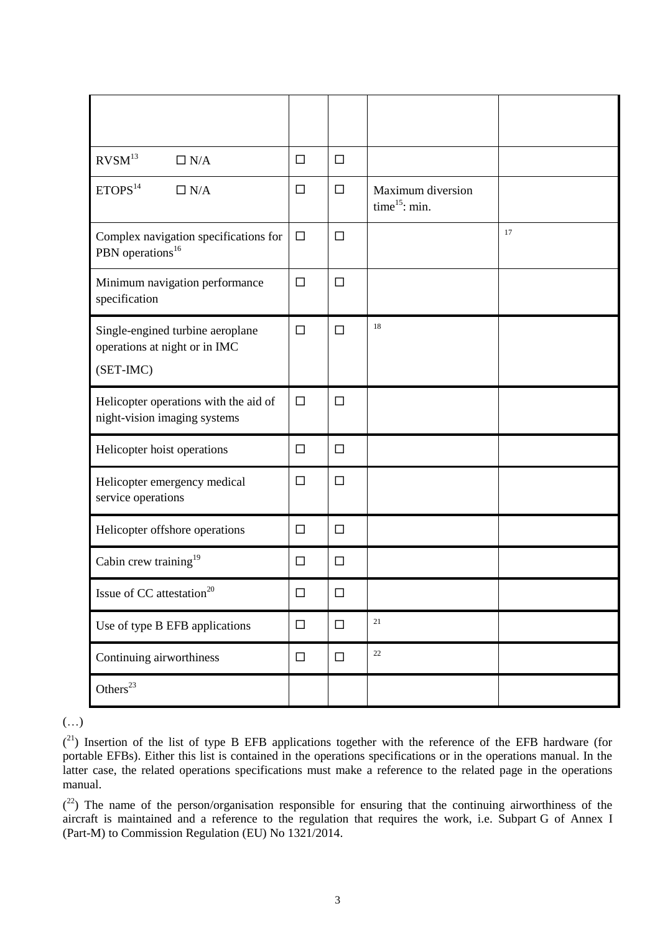| RVSM <sup>13</sup><br>$\Box$ N/A                                               | $\Box$ | $\Box$ |                                       |    |
|--------------------------------------------------------------------------------|--------|--------|---------------------------------------|----|
| ETOPS <sup>14</sup><br>$\Box$ N/A                                              | $\Box$ | $\Box$ | Maximum diversion<br>time $15$ : min. |    |
| Complex navigation specifications for<br>PBN operations <sup>16</sup>          | $\Box$ | $\Box$ |                                       | 17 |
| Minimum navigation performance<br>specification                                | $\Box$ | $\Box$ |                                       |    |
| Single-engined turbine aeroplane<br>operations at night or in IMC<br>(SET-IMC) | $\Box$ | $\Box$ | 18                                    |    |
| Helicopter operations with the aid of<br>night-vision imaging systems          | $\Box$ | $\Box$ |                                       |    |
| Helicopter hoist operations                                                    | $\Box$ | $\Box$ |                                       |    |
| Helicopter emergency medical<br>service operations                             | $\Box$ | $\Box$ |                                       |    |
| Helicopter offshore operations                                                 | $\Box$ | $\Box$ |                                       |    |
| Cabin crew training <sup>19</sup>                                              | $\Box$ | $\Box$ |                                       |    |
| Issue of CC attestation <sup>20</sup>                                          | $\Box$ | $\Box$ |                                       |    |
| Use of type B EFB applications                                                 | $\Box$ | $\Box$ | 21                                    |    |
| Continuing airworthiness                                                       | $\Box$ | $\Box$ | 22                                    |    |
| Others $^{23}$                                                                 |        |        |                                       |    |

(…)

 $(21)$  Insertion of the list of type B EFB applications together with the reference of the EFB hardware (for portable EFBs). Either this list is contained in the operations specifications or in the operations manual. In the latter case, the related operations specifications must make a reference to the related page in the operations manual.

 $(2^2)$  The name of the person/organisation responsible for ensuring that the continuing airworthiness of the aircraft is maintained and a reference to the regulation that requires the work, i.e. Subpart G of Annex I (Part-M) to Commission Regulation (EU) No 1321/2014.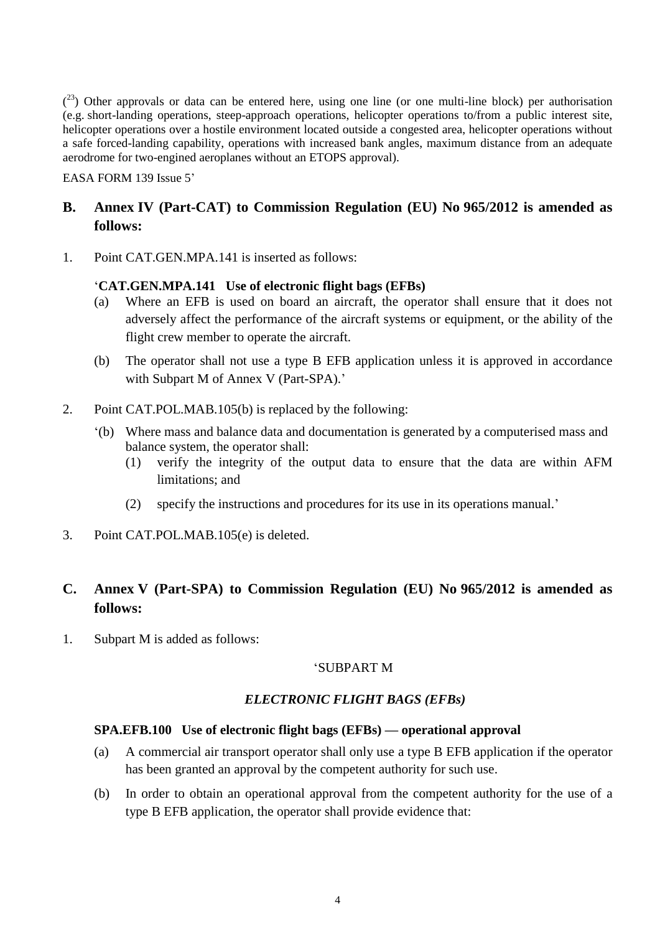$(2^3)$  Other approvals or data can be entered here, using one line (or one multi-line block) per authorisation (e.g. short-landing operations, steep-approach operations, helicopter operations to/from a public interest site, helicopter operations over a hostile environment located outside a congested area, helicopter operations without a safe forced-landing capability, operations with increased bank angles, maximum distance from an adequate aerodrome for two-engined aeroplanes without an ETOPS approval).

EASA FORM 139 Issue 5'

# **B. Annex IV (Part-CAT) to Commission Regulation (EU) No 965/2012 is amended as follows:**

1. Point CAT.GEN.MPA.141 is inserted as follows:

## '**CAT.GEN.MPA.141 Use of electronic flight bags (EFBs)**

- (a) Where an EFB is used on board an aircraft, the operator shall ensure that it does not adversely affect the performance of the aircraft systems or equipment, or the ability of the flight crew member to operate the aircraft.
- (b) The operator shall not use a type B EFB application unless it is approved in accordance with Subpart M of Annex V (Part-SPA).'
- 2. Point CAT.POL.MAB.105(b) is replaced by the following:
	- '(b) Where mass and balance data and documentation is generated by a computerised mass and balance system, the operator shall:
		- (1) verify the integrity of the output data to ensure that the data are within AFM limitations; and
		- (2) specify the instructions and procedures for its use in its operations manual.'
- 3. Point CAT.POL.MAB.105(e) is deleted.

# **C. Annex V (Part-SPA) to Commission Regulation (EU) No 965/2012 is amended as follows:**

1. Subpart M is added as follows:

## 'SUBPART M

## *ELECTRONIC FLIGHT BAGS (EFBs)*

#### **SPA.EFB.100 Use of electronic flight bags (EFBs) — operational approval**

- (a) A commercial air transport operator shall only use a type B EFB application if the operator has been granted an approval by the competent authority for such use.
- (b) In order to obtain an operational approval from the competent authority for the use of a type B EFB application, the operator shall provide evidence that: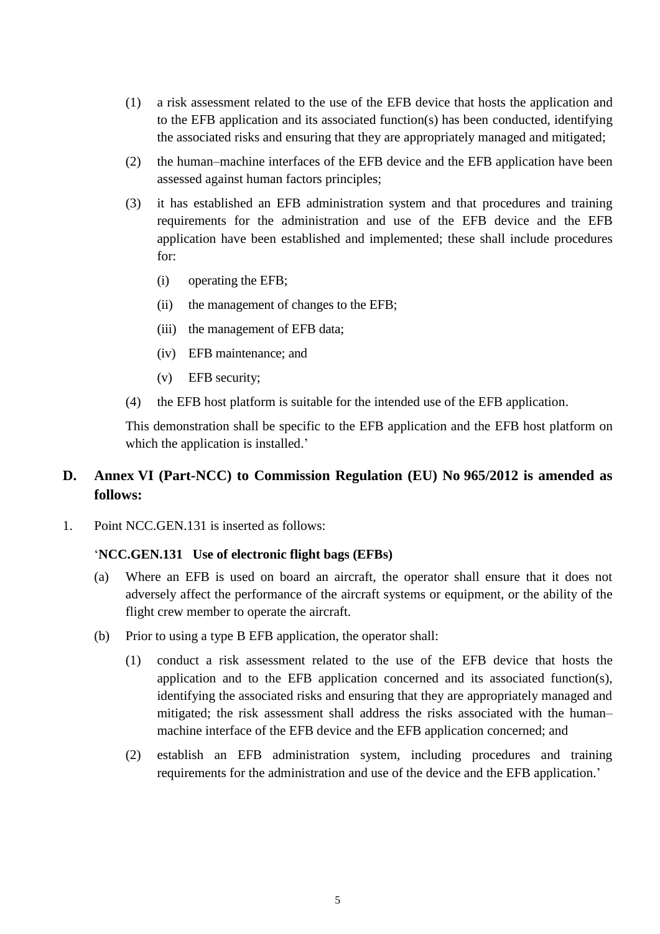- (1) a risk assessment related to the use of the EFB device that hosts the application and to the EFB application and its associated function(s) has been conducted, identifying the associated risks and ensuring that they are appropriately managed and mitigated;
- (2) the human–machine interfaces of the EFB device and the EFB application have been assessed against human factors principles;
- (3) it has established an EFB administration system and that procedures and training requirements for the administration and use of the EFB device and the EFB application have been established and implemented; these shall include procedures for:
	- (i) operating the EFB;
	- (ii) the management of changes to the EFB;
	- (iii) the management of EFB data;
	- (iv) EFB maintenance; and
	- (v) EFB security;
- (4) the EFB host platform is suitable for the intended use of the EFB application.

This demonstration shall be specific to the EFB application and the EFB host platform on which the application is installed.'

## **D. Annex VI (Part-NCC) to Commission Regulation (EU) No 965/2012 is amended as follows:**

1. Point NCC.GEN.131 is inserted as follows:

#### '**NCC.GEN.131 Use of electronic flight bags (EFBs)**

- (a) Where an EFB is used on board an aircraft, the operator shall ensure that it does not adversely affect the performance of the aircraft systems or equipment, or the ability of the flight crew member to operate the aircraft.
- (b) Prior to using a type B EFB application, the operator shall:
	- (1) conduct a risk assessment related to the use of the EFB device that hosts the application and to the EFB application concerned and its associated function(s), identifying the associated risks and ensuring that they are appropriately managed and mitigated; the risk assessment shall address the risks associated with the human– machine interface of the EFB device and the EFB application concerned; and
	- (2) establish an EFB administration system, including procedures and training requirements for the administration and use of the device and the EFB application.'